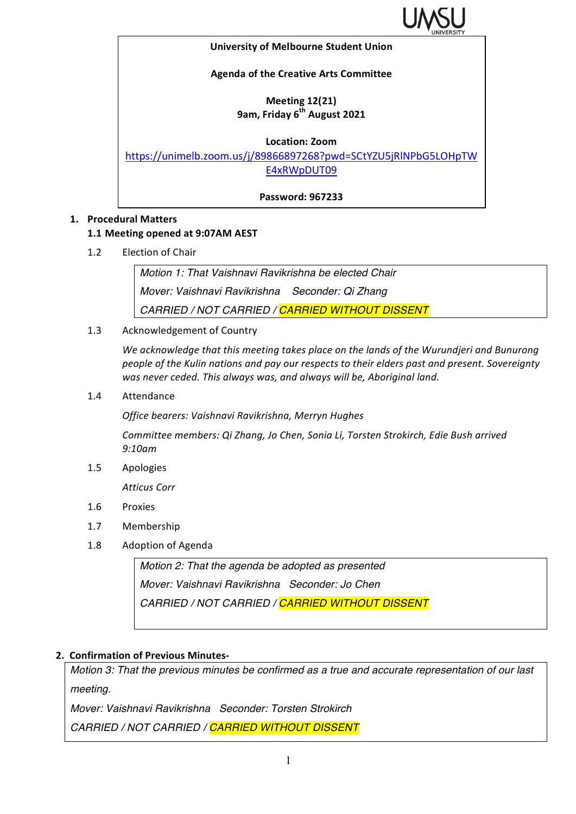

#### **University of Melbourne Student Union**

### **Agenda of the Creative Arts Committee**

# **Meeting 12(21) 9am, Friday 6th August 2021**

#### **Location: Zoom**

https://unimelb.zoom.us/j/89866897268?pwd=SCtYZU5jRlNPbG5LOHpTW E4xRWpDUT09

**Password: 967233**

### **1. Procedural Matters**

### **1.1 Meeting opened at 9:07AM AEST**

1.2 Election of Chair

*Motion 1: That Vaishnavi Ravikrishna be elected Chair Mover: Vaishnavi Ravikrishna Seconder: Qi Zhang CARRIED / NOT CARRIED / CARRIED WITHOUT DISSENT*

1.3 Acknowledgement of Country

We acknowledge that this meeting takes place on the lands of the Wurundjeri and Bunurong people of the Kulin nations and pay our respects to their elders past and present. Sovereignty was never ceded. This always was, and always will be, Aboriginal land.

1.4 Attendance

*Office bearers: Vaishnavi Ravikrishna, Merryn Hughes*

*Committee members: Qi Zhang, Jo Chen, Sonia Li, Torsten Strokirch, Edie Bush arrived 9:10am*

1.5 Apologies

*Atticus Corr*

- 1.6 Proxies
- 1.7 Membership
- 1.8 Adoption of Agenda

*Motion 2: That the agenda be adopted as presented Mover: Vaishnavi Ravikrishna Seconder: Jo Chen CARRIED / NOT CARRIED / CARRIED WITHOUT DISSENT*

### **2. Confirmation of Previous Minutes-**

*Motion 3: That the previous minutes be confirmed as a true and accurate representation of our last meeting.*

*Mover: Vaishnavi Ravikrishna Seconder: Torsten Strokirch*

*CARRIED / NOT CARRIED / CARRIED WITHOUT DISSENT*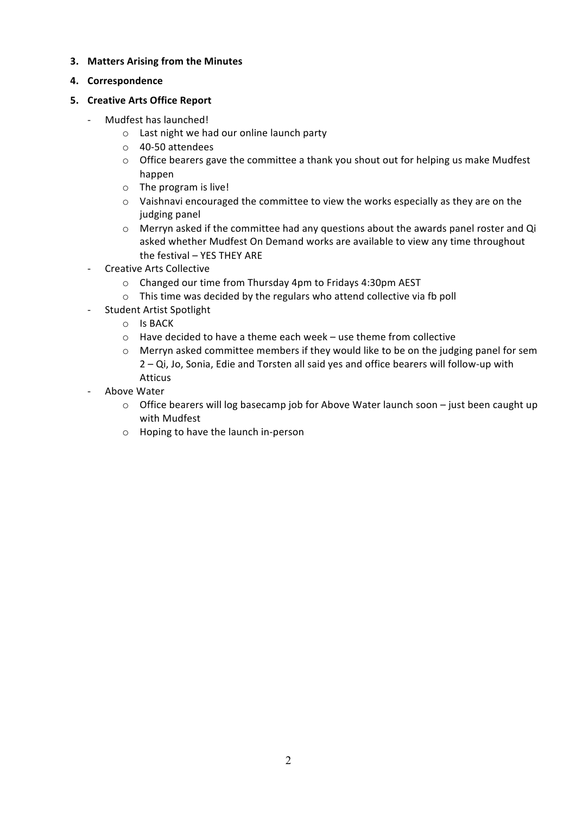### **3.** Matters Arising from the Minutes

**4. Correspondence**

# **5. Creative Arts Office Report**

- Mudfest has launched!
	- $\circ$  Last night we had our online launch party
	- o 40-50 attendees
	- $\circ$  Office bearers gave the committee a thank you shout out for helping us make Mudfest happen
	- $\circ$  The program is live!
	- $\circ$  Vaishnavi encouraged the committee to view the works especially as they are on the judging panel
	- $\circ$  Merryn asked if the committee had any questions about the awards panel roster and Qi asked whether Mudfest On Demand works are available to view any time throughout the festival  $-$  YES THEY ARE
- Creative Arts Collective
	- o Changed our time from Thursday 4pm to Fridays 4:30pm AEST
	- $\circ$  This time was decided by the regulars who attend collective via fb poll
- Student Artist Spotlight
	- o Is BACK
	- $\circ$  Have decided to have a theme each week use theme from collective
	- o Merryn asked committee members if they would like to be on the judging panel for sem  $2 - Qi$ , Jo, Sonia, Edie and Torsten all said yes and office bearers will follow-up with Atticus
- Above Water
	- $\circ$  Office bearers will log basecamp job for Above Water launch soon just been caught up with Mudfest
	- $\circ$  Hoping to have the launch in-person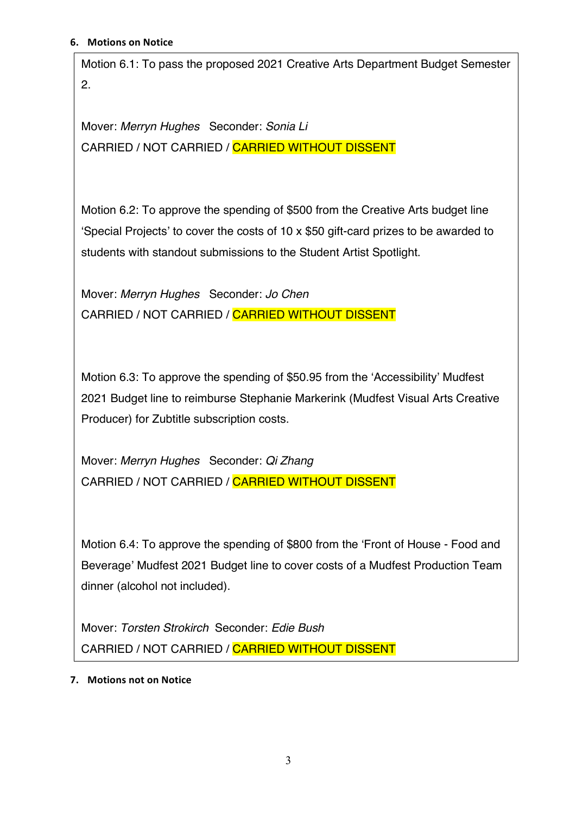Motion 6.1: To pass the proposed 2021 Creative Arts Department Budget Semester 2.

Mover: *Merryn Hughes* Seconder: *Sonia Li* CARRIED / NOT CARRIED / CARRIED WITHOUT DISSENT

Motion 6.2: To approve the spending of \$500 from the Creative Arts budget line 'Special Projects' to cover the costs of 10 x \$50 gift-card prizes to be awarded to students with standout submissions to the Student Artist Spotlight.

Mover: *Merryn Hughes* Seconder: *Jo Chen* CARRIED / NOT CARRIED / CARRIED WITHOUT DISSENT

Motion 6.3: To approve the spending of \$50.95 from the 'Accessibility' Mudfest 2021 Budget line to reimburse Stephanie Markerink (Mudfest Visual Arts Creative Producer) for Zubtitle subscription costs.

Mover: *Merryn Hughes* Seconder: *Qi Zhang* CARRIED / NOT CARRIED / CARRIED WITHOUT DISSENT

Motion 6.4: To approve the spending of \$800 from the 'Front of House - Food and Beverage' Mudfest 2021 Budget line to cover costs of a Mudfest Production Team dinner (alcohol not included).

Mover: *Torsten Strokirch* Seconder: *Edie Bush* CARRIED / NOT CARRIED / CARRIED WITHOUT DISSENT

**7.** Motions not on Notice